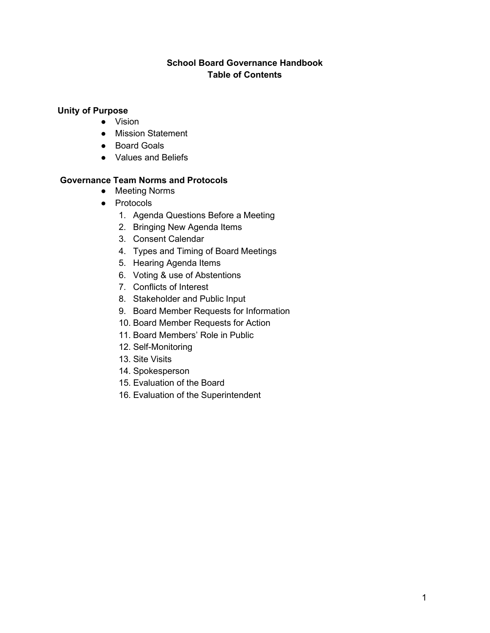# **School Board Governance Handbook Table of Contents**

# **Unity of Purpose**

- Vision
- Mission Statement
- Board Goals
- Values and Beliefs

# **Governance Team Norms and Protocols**

- Meeting Norms
- Protocols
	- 1. Agenda Questions Before a Meeting
	- 2. Bringing New Agenda Items
	- 3. Consent Calendar
	- 4. Types and Timing of Board Meetings
	- 5. Hearing Agenda Items
	- 6. Voting & use of Abstentions
	- 7. Conflicts of Interest
	- 8. Stakeholder and Public Input
	- 9. Board Member Requests for Information
	- 10. Board Member Requests for Action
	- 11. Board Members' Role in Public
	- 12. Self-Monitoring
	- 13. Site Visits
	- 14. Spokesperson
	- 15. Evaluation of the Board
	- 16. Evaluation of the Superintendent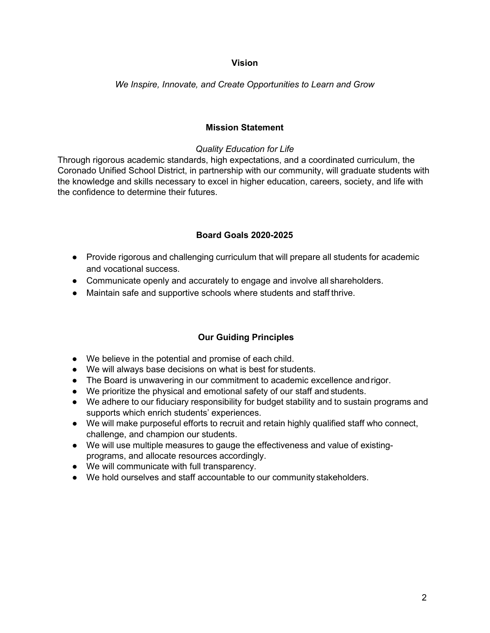## **Vision**

*We Inspire, Innovate, and Create Opportunities to Learn and Grow*

## **Mission Statement**

## *Quality Education for Life*

Through rigorous academic standards, high expectations, and a coordinated curriculum, the Coronado Unified School District, in partnership with our community, will graduate students with the knowledge and skills necessary to excel in higher education, careers, society, and life with the confidence to determine their futures.

# **Board Goals 2020-2025**

- Provide rigorous and challenging curriculum that will prepare all students for academic and vocational success.
- Communicate openly and accurately to engage and involve all shareholders.
- Maintain safe and supportive schools where students and staff thrive.

# **Our Guiding Principles**

- We believe in the potential and promise of each child.
- We will always base decisions on what is best for students.
- The Board is unwavering in our commitment to academic excellence and rigor.
- We prioritize the physical and emotional safety of our staff and students.
- We adhere to our fiduciary responsibility for budget stability and to sustain programs and supports which enrich students' experiences.
- We will make purposeful efforts to recruit and retain highly qualified staff who connect, challenge, and champion our students.
- We will use multiple measures to gauge the effectiveness and value of existingprograms, and allocate resources accordingly.
- We will communicate with full transparency.
- We hold ourselves and staff accountable to our community stakeholders.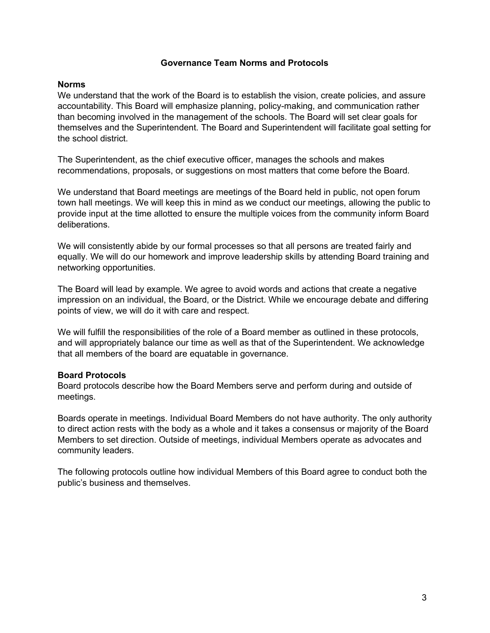#### **Governance Team Norms and Protocols**

#### **Norms**

We understand that the work of the Board is to establish the vision, create policies, and assure accountability. This Board will emphasize planning, policy-making, and communication rather than becoming involved in the management of the schools. The Board will set clear goals for themselves and the Superintendent. The Board and Superintendent will facilitate goal setting for the school district.

The Superintendent, as the chief executive officer, manages the schools and makes recommendations, proposals, or suggestions on most matters that come before the Board.

We understand that Board meetings are meetings of the Board held in public, not open forum town hall meetings. We will keep this in mind as we conduct our meetings, allowing the public to provide input at the time allotted to ensure the multiple voices from the community inform Board deliberations.

We will consistently abide by our formal processes so that all persons are treated fairly and equally. We will do our homework and improve leadership skills by attending Board training and networking opportunities.

The Board will lead by example. We agree to avoid words and actions that create a negative impression on an individual, the Board, or the District. While we encourage debate and differing points of view, we will do it with care and respect.

We will fulfill the responsibilities of the role of a Board member as outlined in these protocols, and will appropriately balance our time as well as that of the Superintendent. We acknowledge that all members of the board are equatable in governance.

## **Board Protocols**

Board protocols describe how the Board Members serve and perform during and outside of meetings.

Boards operate in meetings. Individual Board Members do not have authority. The only authority to direct action rests with the body as a whole and it takes a consensus or majority of the Board Members to set direction. Outside of meetings, individual Members operate as advocates and community leaders.

The following protocols outline how individual Members of this Board agree to conduct both the public's business and themselves.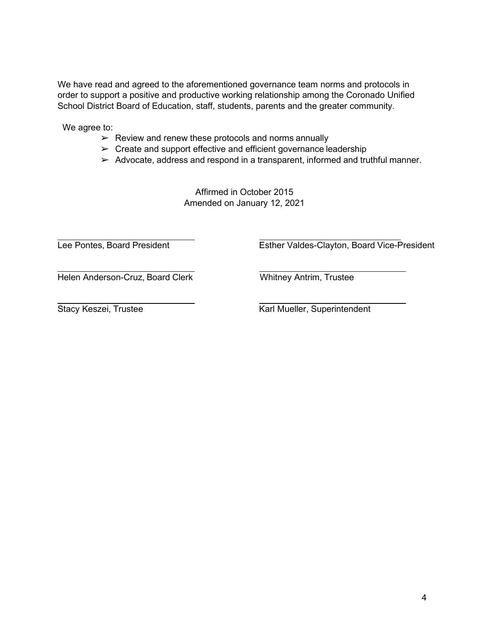We have read and agreed to the aforementioned governance team norms and protocols in order to support a positive and productive working relationship among the Coronado Unified School District Board of Education, staff, students, parents and the greater community.

We agree to:

- $\triangleright$  Review and renew these protocols and norms annually
- $\triangleright$  Create and support effective and efficient governance leadership
- ➢ Advocate, address and respond in a transparent, informed and truthful manner.

Affirmed in October 2015 Amended on January 12, 2021

Lee Pontes, Board President **Esther Valdes-Clayton, Board Vice-President** 

Helen Anderson-Cruz, Board Clerk Whitney Antrim, Trustee

Stacy Keszei, Trustee **Karl Mueller, Superintendent**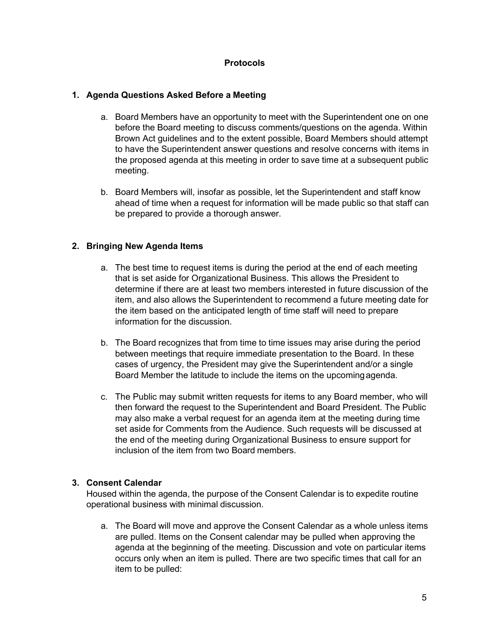## **Protocols**

### **1. Agenda Questions Asked Before a Meeting**

- a. Board Members have an opportunity to meet with the Superintendent one on one before the Board meeting to discuss comments/questions on the agenda. Within Brown Act guidelines and to the extent possible, Board Members should attempt to have the Superintendent answer questions and resolve concerns with items in the proposed agenda at this meeting in order to save time at a subsequent public meeting.
- b. Board Members will, insofar as possible, let the Superintendent and staff know ahead of time when a request for information will be made public so that staff can be prepared to provide a thorough answer.

## **2. Bringing New Agenda Items**

- a. The best time to request items is during the period at the end of each meeting that is set aside for Organizational Business. This allows the President to determine if there are at least two members interested in future discussion of the item, and also allows the Superintendent to recommend a future meeting date for the item based on the anticipated length of time staff will need to prepare information for the discussion.
- b. The Board recognizes that from time to time issues may arise during the period between meetings that require immediate presentation to the Board. In these cases of urgency, the President may give the Superintendent and/or a single Board Member the latitude to include the items on the upcomingagenda.
- c. The Public may submit written requests for items to any Board member, who will then forward the request to the Superintendent and Board President. The Public may also make a verbal request for an agenda item at the meeting during time set aside for Comments from the Audience. Such requests will be discussed at the end of the meeting during Organizational Business to ensure support for inclusion of the item from two Board members.

## **3. Consent Calendar**

Housed within the agenda, the purpose of the Consent Calendar is to expedite routine operational business with minimal discussion.

a. The Board will move and approve the Consent Calendar as a whole unless items are pulled. Items on the Consent calendar may be pulled when approving the agenda at the beginning of the meeting. Discussion and vote on particular items occurs only when an item is pulled. There are two specific times that call for an item to be pulled: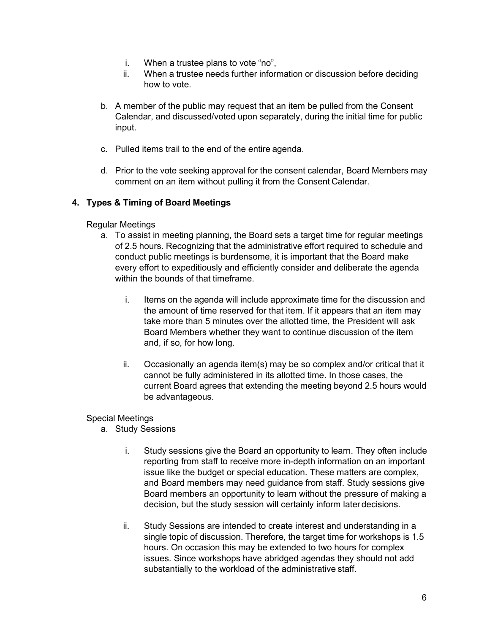- i. When a trustee plans to vote "no",
- ii. When a trustee needs further information or discussion before deciding how to vote.
- b. A member of the public may request that an item be pulled from the Consent Calendar, and discussed/voted upon separately, during the initial time for public input.
- c. Pulled items trail to the end of the entire agenda.
- d. Prior to the vote seeking approval for the consent calendar, Board Members may comment on an item without pulling it from the Consent Calendar.

# **4. Types & Timing of Board Meetings**

# Regular Meetings

- a. To assist in meeting planning, the Board sets a target time for regular meetings of 2.5 hours. Recognizing that the administrative effort required to schedule and conduct public meetings is burdensome, it is important that the Board make every effort to expeditiously and efficiently consider and deliberate the agenda within the bounds of that timeframe.
	- i. Items on the agenda will include approximate time for the discussion and the amount of time reserved for that item. If it appears that an item may take more than 5 minutes over the allotted time, the President will ask Board Members whether they want to continue discussion of the item and, if so, for how long.
	- ii. Occasionally an agenda item(s) may be so complex and/or critical that it cannot be fully administered in its allotted time. In those cases, the current Board agrees that extending the meeting beyond 2.5 hours would be advantageous.

# Special Meetings

- a. Study Sessions
	- i. Study sessions give the Board an opportunity to learn. They often include reporting from staff to receive more in-depth information on an important issue like the budget or special education. These matters are complex, and Board members may need guidance from staff. Study sessions give Board members an opportunity to learn without the pressure of making a decision, but the study session will certainly inform later decisions.
	- ii. Study Sessions are intended to create interest and understanding in a single topic of discussion. Therefore, the target time for workshops is 1.5 hours. On occasion this may be extended to two hours for complex issues. Since workshops have abridged agendas they should not add substantially to the workload of the administrative staff.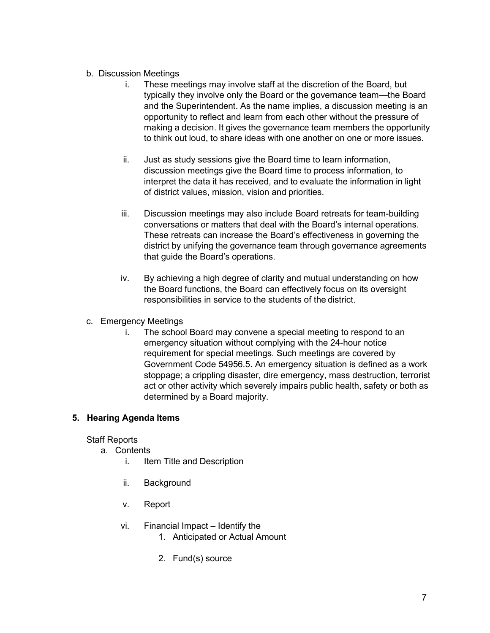# b. Discussion Meetings

- i. These meetings may involve staff at the discretion of the Board, but typically they involve only the Board or the governance team—the Board and the Superintendent. As the name implies, a discussion meeting is an opportunity to reflect and learn from each other without the pressure of making a decision. It gives the governance team members the opportunity to think out loud, to share ideas with one another on one or more issues.
- ii. Just as study sessions give the Board time to learn information, discussion meetings give the Board time to process information, to interpret the data it has received, and to evaluate the information in light of district values, mission, vision and priorities.
- iii. Discussion meetings may also include Board retreats for team-building conversations or matters that deal with the Board's internal operations. These retreats can increase the Board's effectiveness in governing the district by unifying the governance team through governance agreements that guide the Board's operations.
- iv. By achieving a high degree of clarity and mutual understanding on how the Board functions, the Board can effectively focus on its oversight responsibilities in service to the students of the district.
- c. Emergency Meetings
	- i. The school Board may convene a special meeting to respond to an emergency situation without complying with the 24-hour notice requirement for special meetings. Such meetings are covered by Government Code 54956.5. An emergency situation is defined as a work stoppage; a crippling disaster, dire emergency, mass destruction, terrorist act or other activity which severely impairs public health, safety or both as determined by a Board majority.

# **5. Hearing Agenda Items**

## Staff Reports

- a. Contents
	- i. Item Title and Description
	- ii. Background
	- v. Report
	- vi. Financial Impact Identify the
		- 1. Anticipated or Actual Amount
		- 2. Fund(s) source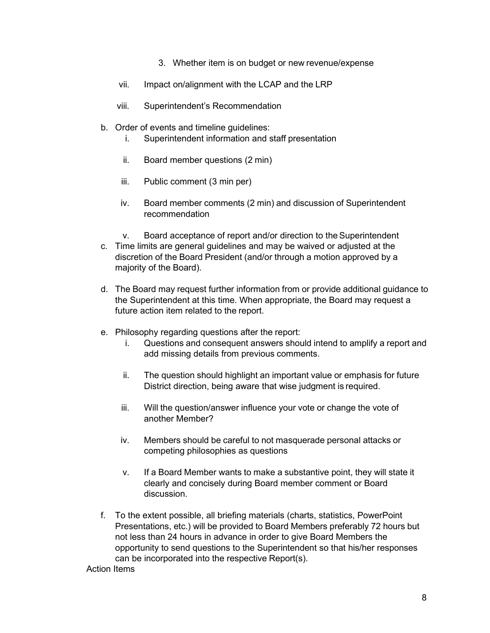- 3. Whether item is on budget or new revenue/expense
- vii. Impact on/alignment with the LCAP and the LRP
- viii. Superintendent's Recommendation
- b. Order of events and timeline guidelines:
	- i. Superintendent information and staff presentation
	- ii. Board member questions (2 min)
	- iii. Public comment (3 min per)
	- iv. Board member comments (2 min) and discussion of Superintendent recommendation
	- v. Board acceptance of report and/or direction to the Superintendent
- c. Time limits are general guidelines and may be waived or adjusted at the discretion of the Board President (and/or through a motion approved by a majority of the Board).
- d. The Board may request further information from or provide additional guidance to the Superintendent at this time. When appropriate, the Board may request a future action item related to the report.
- e. Philosophy regarding questions after the report:
	- i. Questions and consequent answers should intend to amplify a report and add missing details from previous comments.
	- ii. The question should highlight an important value or emphasis for future District direction, being aware that wise judgment is required.
	- iii. Will the question/answer influence your vote or change the vote of another Member?
	- iv. Members should be careful to not masquerade personal attacks or competing philosophies as questions
	- v. If a Board Member wants to make a substantive point, they will state it clearly and concisely during Board member comment or Board discussion.
- f. To the extent possible, all briefing materials (charts, statistics, PowerPoint Presentations, etc.) will be provided to Board Members preferably 72 hours but not less than 24 hours in advance in order to give Board Members the opportunity to send questions to the Superintendent so that his/her responses can be incorporated into the respective Report(s).

Action Items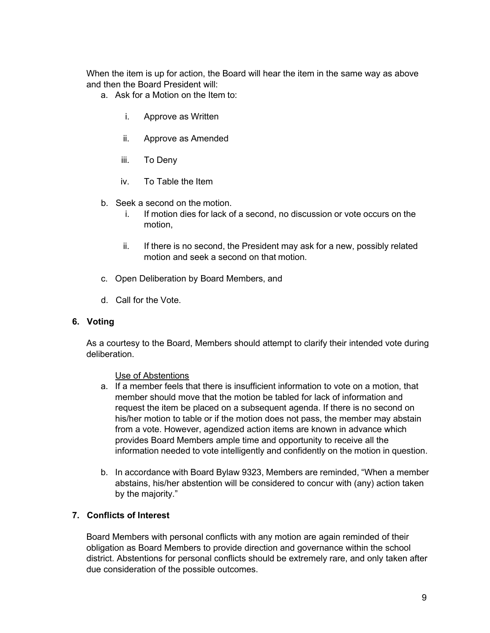When the item is up for action, the Board will hear the item in the same way as above and then the Board President will:

- a. Ask for a Motion on the Item to:
	- i. Approve as Written
	- ii. Approve as Amended
	- iii. To Deny
	- iv. To Table the Item
- b. Seek a second on the motion.
	- i. If motion dies for lack of a second, no discussion or vote occurs on the motion,
	- ii. If there is no second, the President may ask for a new, possibly related motion and seek a second on that motion.
- c. Open Deliberation by Board Members, and
- d. Call for the Vote.

## **6. Voting**

As a courtesy to the Board, Members should attempt to clarify their intended vote during deliberation.

#### Use of Abstentions

- a. If a member feels that there is insufficient information to vote on a motion, that member should move that the motion be tabled for lack of information and request the item be placed on a subsequent agenda. If there is no second on his/her motion to table or if the motion does not pass, the member may abstain from a vote. However, agendized action items are known in advance which provides Board Members ample time and opportunity to receive all the information needed to vote intelligently and confidently on the motion in question.
- b. In accordance with Board Bylaw 9323, Members are reminded, "When a member abstains, his/her abstention will be considered to concur with (any) action taken by the majority."

## **7. Conflicts of Interest**

Board Members with personal conflicts with any motion are again reminded of their obligation as Board Members to provide direction and governance within the school district. Abstentions for personal conflicts should be extremely rare, and only taken after due consideration of the possible outcomes.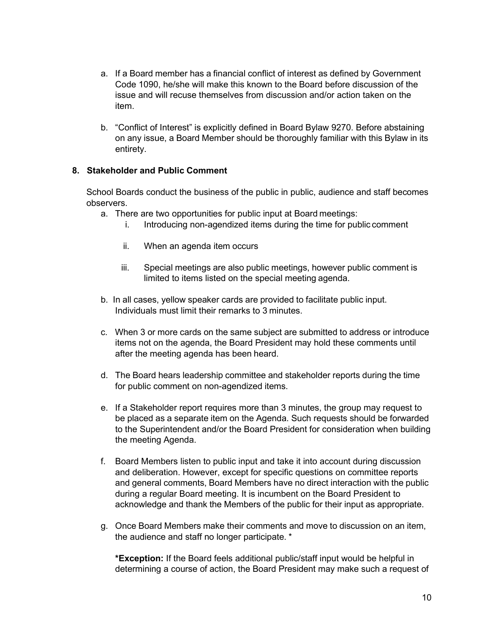- a. If a Board member has a financial conflict of interest as defined by Government Code 1090, he/she will make this known to the Board before discussion of the issue and will recuse themselves from discussion and/or action taken on the item.
- b. "Conflict of Interest" is explicitly defined in Board Bylaw 9270. Before abstaining on any issue, a Board Member should be thoroughly familiar with this Bylaw in its entirety.

# **8. Stakeholder and Public Comment**

School Boards conduct the business of the public in public, audience and staff becomes observers.

- a. There are two opportunities for public input at Board meetings:
	- i. Introducing non-agendized items during the time for public comment
	- ii. When an agenda item occurs
	- iii. Special meetings are also public meetings, however public comment is limited to items listed on the special meeting agenda.
- b. In all cases, yellow speaker cards are provided to facilitate public input. Individuals must limit their remarks to 3 minutes.
- c. When 3 or more cards on the same subject are submitted to address or introduce items not on the agenda, the Board President may hold these comments until after the meeting agenda has been heard.
- d. The Board hears leadership committee and stakeholder reports during the time for public comment on non-agendized items.
- e. If a Stakeholder report requires more than 3 minutes, the group may request to be placed as a separate item on the Agenda. Such requests should be forwarded to the Superintendent and/or the Board President for consideration when building the meeting Agenda.
- f. Board Members listen to public input and take it into account during discussion and deliberation. However, except for specific questions on committee reports and general comments, Board Members have no direct interaction with the public during a regular Board meeting. It is incumbent on the Board President to acknowledge and thank the Members of the public for their input as appropriate.
- g. Once Board Members make their comments and move to discussion on an item, the audience and staff no longer participate. \*

**\*Exception:** If the Board feels additional public/staff input would be helpful in determining a course of action, the Board President may make such a request of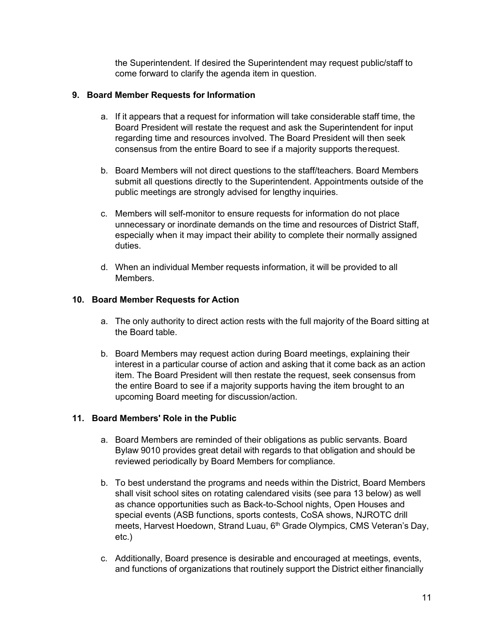the Superintendent. If desired the Superintendent may request public/staff to come forward to clarify the agenda item in question.

# **9. Board Member Requests for Information**

- a. If it appears that a request for information will take considerable staff time, the Board President will restate the request and ask the Superintendent for input regarding time and resources involved. The Board President will then seek consensus from the entire Board to see if a majority supports therequest.
- b. Board Members will not direct questions to the staff/teachers. Board Members submit all questions directly to the Superintendent. Appointments outside of the public meetings are strongly advised for lengthy inquiries.
- c. Members will self-monitor to ensure requests for information do not place unnecessary or inordinate demands on the time and resources of District Staff, especially when it may impact their ability to complete their normally assigned duties.
- d. When an individual Member requests information, it will be provided to all Members.

# **10. Board Member Requests for Action**

- a. The only authority to direct action rests with the full majority of the Board sitting at the Board table.
- b. Board Members may request action during Board meetings, explaining their interest in a particular course of action and asking that it come back as an action item. The Board President will then restate the request, seek consensus from the entire Board to see if a majority supports having the item brought to an upcoming Board meeting for discussion/action.

## **11. Board Members' Role in the Public**

- a. Board Members are reminded of their obligations as public servants. Board Bylaw 9010 provides great detail with regards to that obligation and should be reviewed periodically by Board Members for compliance.
- b. To best understand the programs and needs within the District, Board Members shall visit school sites on rotating calendared visits (see para 13 below) as well as chance opportunities such as Back-to-School nights, Open Houses and special events (ASB functions, sports contests, CoSA shows, NJROTC drill meets, Harvest Hoedown, Strand Luau, 6<sup>th</sup> Grade Olympics, CMS Veteran's Day, etc.)
- c. Additionally, Board presence is desirable and encouraged at meetings, events, and functions of organizations that routinely support the District either financially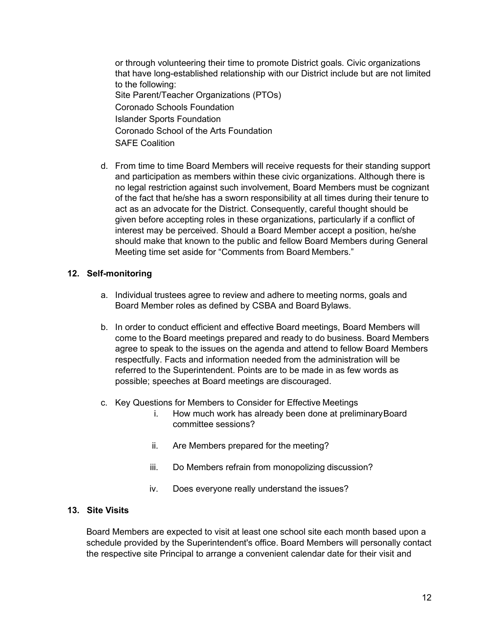or through volunteering their time to promote District goals. Civic organizations that have long-established relationship with our District include but are not limited to the following: Site Parent/Teacher Organizations (PTOs) Coronado Schools Foundation Islander Sports Foundation Coronado School of the Arts Foundation SAFE Coalition

d. From time to time Board Members will receive requests for their standing support and participation as members within these civic organizations. Although there is no legal restriction against such involvement, Board Members must be cognizant of the fact that he/she has a sworn responsibility at all times during their tenure to act as an advocate for the District. Consequently, careful thought should be given before accepting roles in these organizations, particularly if a conflict of interest may be perceived. Should a Board Member accept a position, he/she should make that known to the public and fellow Board Members during General Meeting time set aside for "Comments from Board Members."

## **12. Self-monitoring**

- a. Individual trustees agree to review and adhere to meeting norms, goals and Board Member roles as defined by CSBA and Board Bylaws.
- b. In order to conduct efficient and effective Board meetings, Board Members will come to the Board meetings prepared and ready to do business. Board Members agree to speak to the issues on the agenda and attend to fellow Board Members respectfully. Facts and information needed from the administration will be referred to the Superintendent. Points are to be made in as few words as possible; speeches at Board meetings are discouraged.
- c. Key Questions for Members to Consider for Effective Meetings
	- i. How much work has already been done at preliminary Board committee sessions?
	- ii. Are Members prepared for the meeting?
	- iii. Do Members refrain from monopolizing discussion?
	- iv. Does everyone really understand the issues?

# **13. Site Visits**

Board Members are expected to visit at least one school site each month based upon a schedule provided by the Superintendent's office. Board Members will personally contact the respective site Principal to arrange a convenient calendar date for their visit and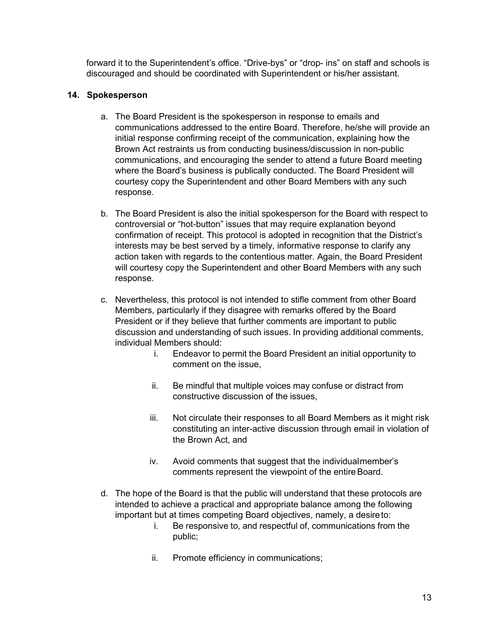forward it to the Superintendent's office. "Drive-bys" or "drop- ins" on staff and schools is discouraged and should be coordinated with Superintendent or his/her assistant.

# **14. Spokesperson**

- a. The Board President is the spokesperson in response to emails and communications addressed to the entire Board. Therefore, he/she will provide an initial response confirming receipt of the communication, explaining how the Brown Act restraints us from conducting business/discussion in non-public communications, and encouraging the sender to attend a future Board meeting where the Board's business is publically conducted. The Board President will courtesy copy the Superintendent and other Board Members with any such response.
- b. The Board President is also the initial spokesperson for the Board with respect to controversial or "hot-button" issues that may require explanation beyond confirmation of receipt. This protocol is adopted in recognition that the District's interests may be best served by a timely, informative response to clarify any action taken with regards to the contentious matter. Again, the Board President will courtesy copy the Superintendent and other Board Members with any such response.
- c. Nevertheless, this protocol is not intended to stifle comment from other Board Members, particularly if they disagree with remarks offered by the Board President or if they believe that further comments are important to public discussion and understanding of such issues. In providing additional comments, individual Members should:
	- i. Endeavor to permit the Board President an initial opportunity to comment on the issue,
	- ii. Be mindful that multiple voices may confuse or distract from constructive discussion of the issues,
	- iii. Not circulate their responses to all Board Members as it might risk constituting an inter-active discussion through email in violation of the Brown Act, and
	- iv. Avoid comments that suggest that the individualmember's comments represent the viewpoint of the entire Board.
- d. The hope of the Board is that the public will understand that these protocols are intended to achieve a practical and appropriate balance among the following important but at times competing Board objectives, namely, a desireto:
	- i. Be responsive to, and respectful of, communications from the public;
	- ii. Promote efficiency in communications;